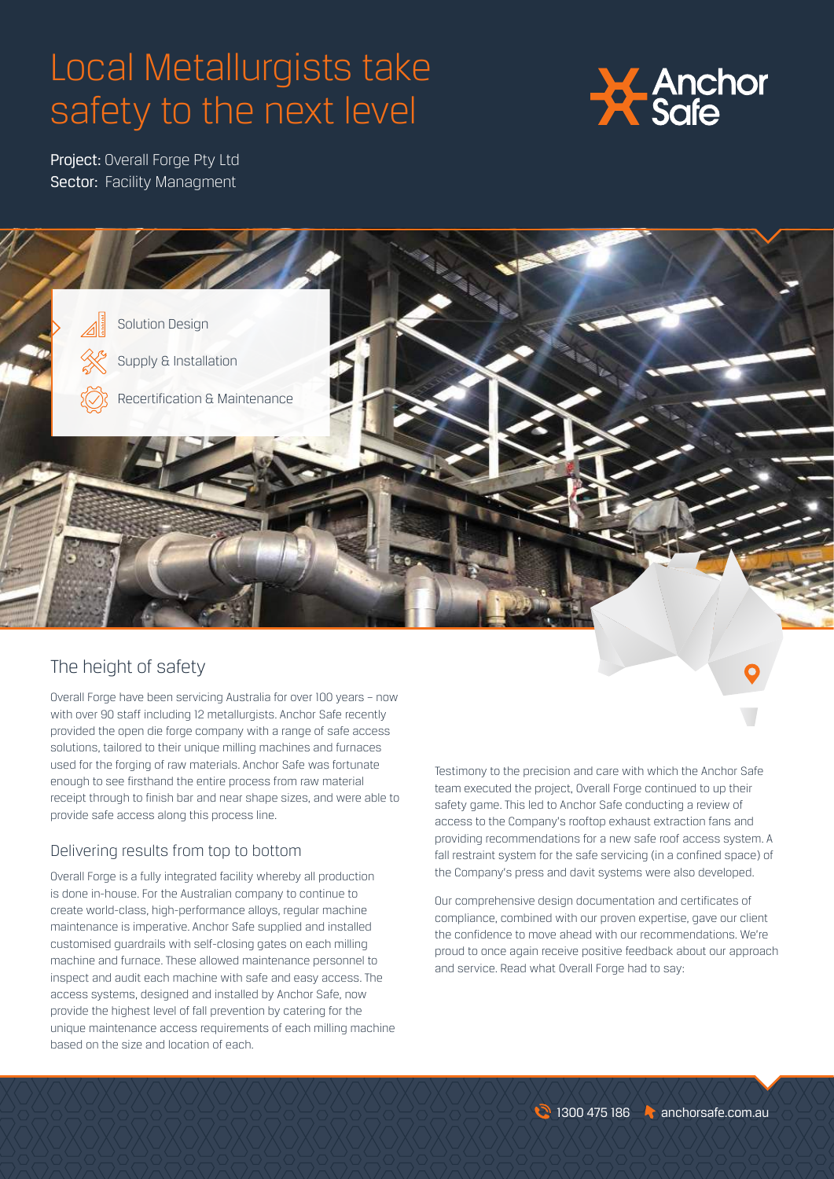## Local Metallurgists take safety to the next level



Project: Overall Forge Pty Ltd Sector: Facility Managment



## The height of safety

Overall Forge have been servicing Australia for over 100 years – now with over 90 staff including 12 metallurgists. Anchor Safe recently provided the open die forge company with a range of safe access solutions, tailored to their unique milling machines and furnaces used for the forging of raw materials. Anchor Safe was fortunate enough to see firsthand the entire process from raw material receipt through to finish bar and near shape sizes, and were able to provide safe access along this process line.

## Delivering results from top to bottom

Overall Forge is a fully integrated facility whereby all production is done in-house. For the Australian company to continue to create world-class, high-performance alloys, regular machine maintenance is imperative. Anchor Safe supplied and installed customised guardrails with self-closing gates on each milling machine and furnace. These allowed maintenance personnel to inspect and audit each machine with safe and easy access. The access systems, designed and installed by Anchor Safe, now provide the highest level of fall prevention by catering for the unique maintenance access requirements of each milling machine based on the size and location of each.

Testimony to the precision and care with which the Anchor Safe team executed the project, Overall Forge continued to up their safety game. This led to Anchor Safe conducting a review of access to the Company's rooftop exhaust extraction fans and providing recommendations for a new safe roof access system. A fall restraint system for the safe servicing (in a confined space) of the Company's press and davit systems were also developed.

Our comprehensive design documentation and certificates of compliance, combined with our proven expertise, gave our client the confidence to move ahead with our recommendations. We're proud to once again receive positive feedback about our approach and service. Read what Overall Forge had to say: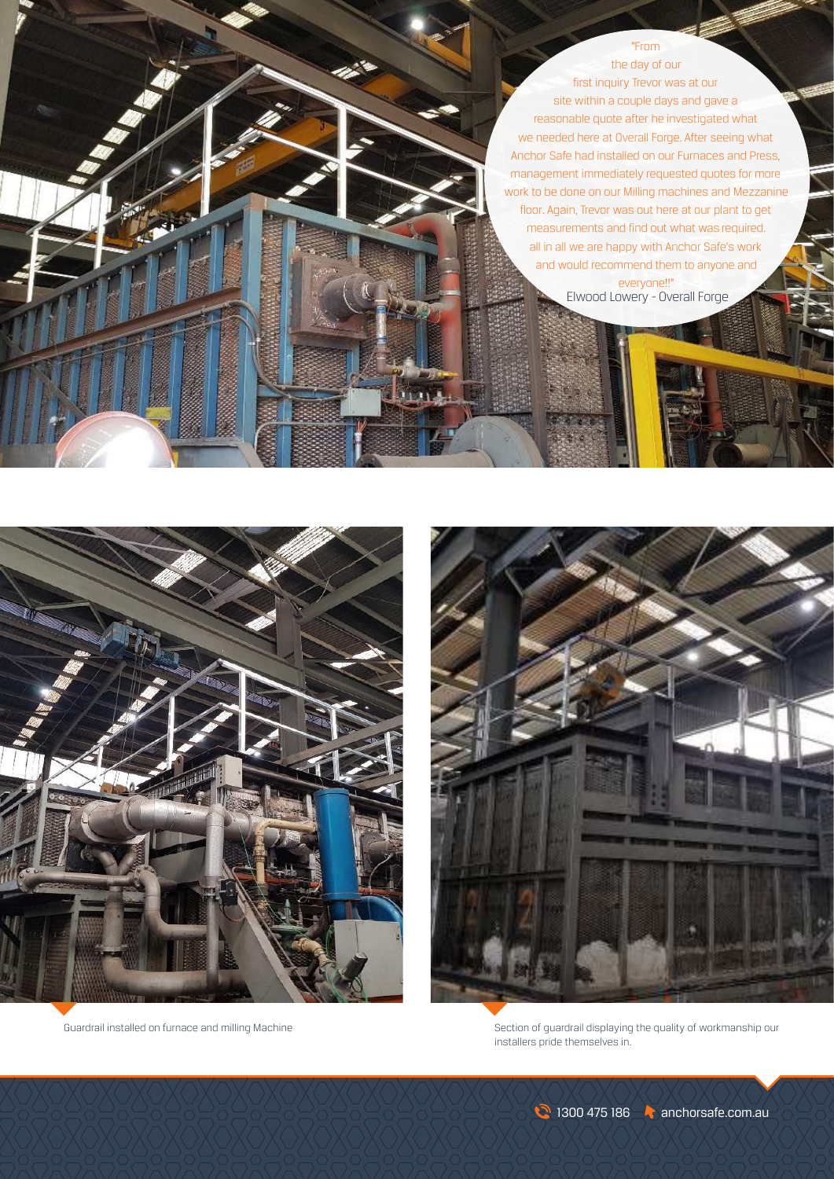"From the day of our first inquiry Trevor was at our site within a couple days and gave a reasonable quote after he investigated what we needed here at Overall Forge. After seeing what Anchor Safe had installed on our Furnaces and Press, management immediately requested quotes for more work to be done on our Milling machines and Mezzanine floor. Again, Trevor was out here at our plant to get measurements and find out what was required. all in all we are happy with Anchor Safe's work and would recommend them to anyone and everyone!!"

Elwood Lowery - Overall Forge





Guardrail installed on furnace and milling Machine Section of guardrail displaying the quality of workmanship our installers pride themselves in.